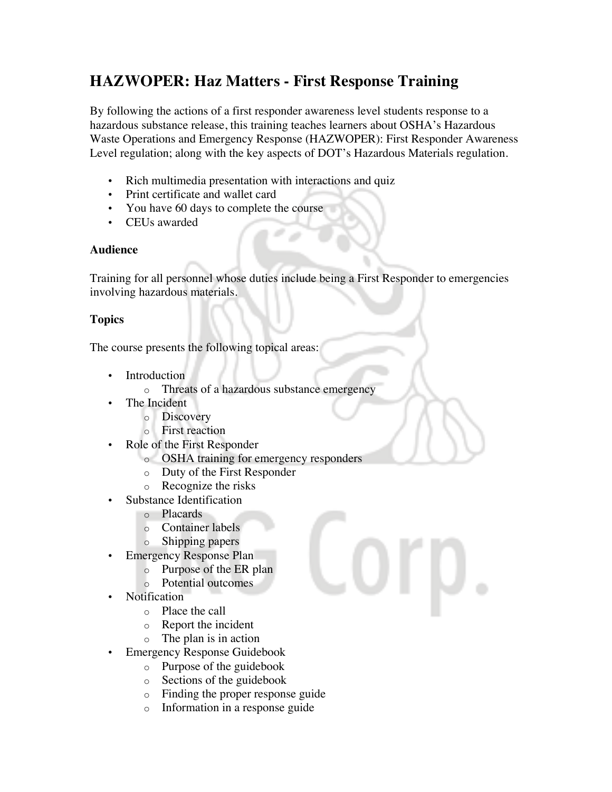## **HAZWOPER: Haz Matters - First Response Training**

By following the actions of a first responder awareness level students response to a hazardous substance release, this training teaches learners about OSHA's Hazardous Waste Operations and Emergency Response (HAZWOPER): First Responder Awareness Level regulation; along with the key aspects of DOT's Hazardous Materials regulation.

- Rich multimedia presentation with interactions and quiz
- Print certificate and wallet card
- You have 60 days to complete the course
- CEUs awarded

## **Audience**

Training for all personnel whose duties include being a First Responder to emergencies involving hazardous materials.

## **Topics**

The course presents the following topical areas:

- Introduction
	- o Threats of a hazardous substance emergency
- The Incident
	- o Discovery
	- o First reaction
- Role of the First Responder
	- o OSHA training for emergency responders
	- o Duty of the First Responder
	- o Recognize the risks
- Substance Identification
	- o Placards
	- o Container labels
	- o Shipping papers
- Emergency Response Plan
	- o Purpose of the ER plan
	- o Potential outcomes
- Notification
	- o Place the call
	- o Report the incident
	- o The plan is in action
- Emergency Response Guidebook
	- o Purpose of the guidebook
	- o Sections of the guidebook
	- o Finding the proper response guide
	- o Information in a response guide